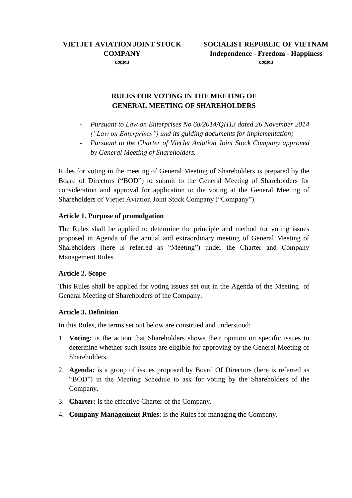# **RULES FOR VOTING IN THE MEETING OF GENERAL MEETING OF SHAREHOLDERS**

- *Pursuant to Law on Enterprises No 68/2014/QH13 dated 26 November 2014 ("Law on Enterprises") and its guiding documents for implementation;*
- *Pursuant to the Charter of VietJet Aviation Joint Stock Company approved by General Meeting of Shareholders.*

Rules for voting in the meeting of General Meeting of Shareholders is prepared by the Board of Directors ("BOD") to submit to the General Meeting of Shareholders for consideration and approval for application to the voting at the General Meeting of Shareholders of Vietjet Aviation Joint Stock Company ("Company").

### **Article 1. Purpose of promulgation**

The Rules shall be applied to determine the principle and method for voting issues proposed in Agenda of the annual and extraordinary meeting of General Meeting of Shareholders (here is referred as "Meeting") under the Charter and Company Management Rules.

#### **Article 2. Scope**

This Rules shall be applied for voting issues set out in the Agenda of the Meeting of General Meeting of Shareholders of the Company.

## **Article 3. Definition**

In this Rules, the terms set out below are construed and understood:

- 1. **Voting:** is the action that Shareholders shows their opinion on specific issues to determine whether such issues are eligible for approving by the General Meeting of Shareholders.
- 2. **Agenda:** is a group of issues proposed by Board Of Directors (here is referred as "BOD") in the Meeting Schedule to ask for voting by the Shareholders of the Company.
- 3. **Charter:** is the effective Charter of the Company.
- 4. **Company Management Rules:** is the Rules for managing the Company.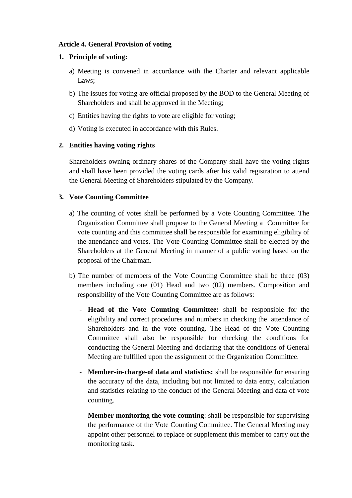## **Article 4. General Provision of voting**

### **1. Principle of voting:**

- a) Meeting is convened in accordance with the Charter and relevant applicable Laws;
- b) The issues for voting are official proposed by the BOD to the General Meeting of Shareholders and shall be approved in the Meeting;
- c) Entities having the rights to vote are eligible for voting;
- d) Voting is executed in accordance with this Rules.

# **2. Entities having voting rights**

Shareholders owning ordinary shares of the Company shall have the voting rights and shall have been provided the voting cards after his valid registration to attend the General Meeting of Shareholders stipulated by the Company.

# **3. Vote Counting Committee**

- a) The counting of votes shall be performed by a Vote Counting Committee. The Organization Committee shall propose to the General Meeting a Committee for vote counting and this committee shall be responsible for examining eligibility of the attendance and votes. The Vote Counting Committee shall be elected by the Shareholders at the General Meeting in manner of a public voting based on the proposal of the Chairman.
- b) The number of members of the Vote Counting Committee shall be three (03) members including one (01) Head and two (02) members. Composition and responsibility of the Vote Counting Committee are as follows:
	- **Head of the Vote Counting Committee:** shall be responsible for the eligibility and correct procedures and numbers in checking the attendance of Shareholders and in the vote counting. The Head of the Vote Counting Committee shall also be responsible for checking the conditions for conducting the General Meeting and declaring that the conditions of General Meeting are fulfilled upon the assignment of the Organization Committee.
	- **Member-in-charge-of data and statistics:** shall be responsible for ensuring the accuracy of the data, including but not limited to data entry, calculation and statistics relating to the conduct of the General Meeting and data of vote counting.
	- **Member monitoring the vote counting**: shall be responsible for supervising the performance of the Vote Counting Committee. The General Meeting may appoint other personnel to replace or supplement this member to carry out the monitoring task.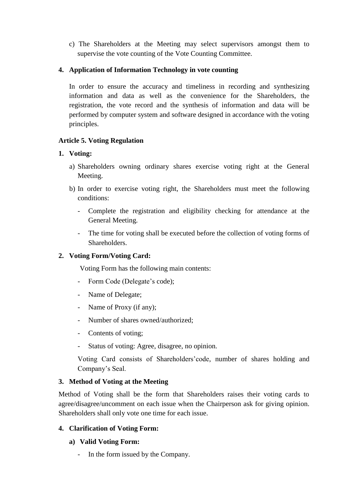c) The Shareholders at the Meeting may select supervisors amongst them to supervise the vote counting of the Vote Counting Committee.

## **4. Application of Information Technology in vote counting**

In order to ensure the accuracy and timeliness in recording and synthesizing information and data as well as the convenience for the Shareholders, the registration, the vote record and the synthesis of information and data will be performed by computer system and software designed in accordance with the voting principles.

## **Article 5. Voting Regulation**

# **1. Voting:**

- a) Shareholders owning ordinary shares exercise voting right at the General Meeting.
- b) In order to exercise voting right, the Shareholders must meet the following conditions:
	- Complete the registration and eligibility checking for attendance at the General Meeting.
	- The time for voting shall be executed before the collection of voting forms of Shareholders.

# **2. Voting Form/Voting Card:**

Voting Form has the following main contents:

- Form Code (Delegate's code);
- Name of Delegate;
- Name of Proxy (if any);
- Number of shares owned/authorized;
- Contents of voting;
- Status of voting: Agree, disagree, no opinion.

Voting Card consists of Shareholders'code, number of shares holding and Company's Seal.

## **3. Method of Voting at the Meeting**

Method of Voting shall be the form that Shareholders raises their voting cards to agree/disagree/uncomment on each issue when the Chairperson ask for giving opinion. Shareholders shall only vote one time for each issue.

# **4. Clarification of Voting Form:**

## **a) Valid Voting Form:**

- In the form issued by the Company.